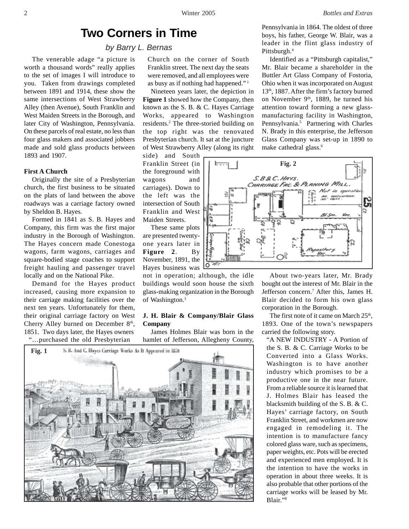# **Two Corners in Time**

# *by Barry L. Bernas*

The venerable adage "a picture is worth a thousand words" really applies to the set of images I will introduce to you. Taken from drawings completed between 1891 and 1914, these show the same intersections of West Strawberry Alley (then Avenue), South Franklin and West Maiden Streets in the Borough, and later City of Washington, Pennsylvania. On these parcels of real estate, no less than four glass makers and associated jobbers made and sold glass products between 1893 and 1907.

# **First A Church**

Originally the site of a Presbyterian church, the first business to be situated on the plats of land between the above roadways was a carriage factory owned by Sheldon B. Hayes.

Formed in 1841 as S. B. Hayes and Company, this firm was the first major industry in the Borough of Washington. The Hayes concern made Conestoga wagons, farm wagons, carriages and square-bodied stage coaches to support freight hauling and passenger travel locally and on the National Pike.

Demand for the Hayes product increased, causing more expansion to their carriage making facilities over the next ten years. Unfortunately for them, their original carriage factory on West Cherry Alley burned on December  $8<sup>th</sup>$ , 1851. Two days later, the Hayes owners "…purchased the old Presbyterian

Church on the corner of South Franklin street. The next day the seats were removed, and all employees were as busy as if nothing had happened." 1

Nineteen years later, the depiction in **Figure 1** showed how the Company, then known as the S. B. & C. Hayes Carriage Works, appeared to Washington residents.<sup>2</sup> The three-storied building on the top right was the renovated Presbyterian church. It sat at the juncture of West Strawberry Alley (along its right

side) and South Franklin Street (in the foreground with wagons and carriages). Down to the left was the intersection of South Franklin and West Maiden Streets.

These same plots are presented twentyone years later in **Figure 2**. By November, 1891, the Hayes business was

not in operation; although, the idle buildings would soon house the sixth glass-making organization in the Borough of Washington.3

## **J. H. Blair & Company/Blair Glass Company**

James Holmes Blair was born in the hamlet of Jefferson, Allegheny County,



Pennsylvania in 1864. The oldest of three boys, his father, George W. Blair, was a leader in the flint glass industry of Pittsburgh.<sup>4</sup>

Identified as a "Pittsburgh capitalist," Mr. Blair became a shareholder in the Buttler Art Glass Company of Fostoria, Ohio when it was incorporated on August 13<sup>th</sup>, 1887. After the firm's factory burned on November 9<sup>th</sup>, 1889, he turned his attention toward forming a new glassmanufacturing facility in Washington, Pennsylvania.<sup>5</sup> Partnering with Charles N. Brady in this enterprise, the Jefferson Glass Company was set-up in 1890 to make cathedral glass.<sup>6</sup>



About two-years later, Mr. Brady bought out the interest of Mr. Blair in the Jefferson concern.7 After this, James H. Blair decided to form his own glass corporation in the Borough.

The first note of it came on March 25<sup>th</sup>, 1893. One of the town's newspapers carried the following story.

"A NEW INDUSTRY - A Portion of the S. B. & C. Carriage Works to be Converted into a Glass Works. Washington is to have another industry which promises to be a productive one in the near future. From a reliable source it is learned that J. Holmes Blair has leased the blacksmith building of the S. B. & C. Hayes' carriage factory, on South Franklin Street, and workmen are now engaged in remodeling it. The intention is to manufacture fancy colored glass ware, such as specimens, paper weights, etc. Pots will be erected and experienced men employed. It is the intention to have the works in operation in about three weeks. It is also probable that other portions of the carriage works will be leased by Mr. Blair."8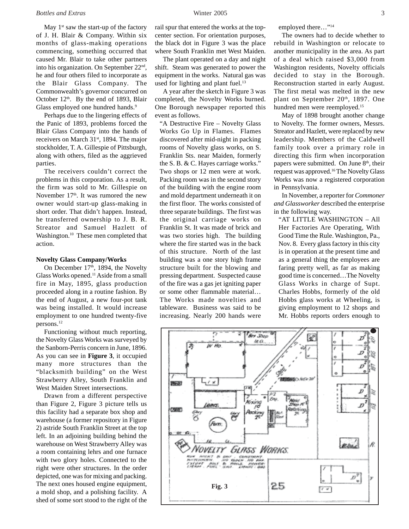#### *Bottles and Extras* Winter 2005 3

May  $1<sup>st</sup>$  saw the start-up of the factory of J. H. Blair & Company. Within six months of glass-making operations commencing, something occurred that caused Mr. Blair to take other partners into his organization. On September 22nd, he and four others filed to incorporate as the Blair Glass Company. The Commonwealth's governor concurred on October  $12<sup>th</sup>$ . By the end of 1893, Blair Glass employed one hundred hands.<sup>9</sup>

Perhaps due to the lingering effects of the Panic of 1893, problems forced the Blair Glass Company into the hands of receivers on March 31<sup>st</sup>, 1894. The major stockholder, T. A. Gillespie of Pittsburgh, along with others, filed as the aggrieved parties.

The receivers couldn't correct the problems in this corporation. As a result, the firm was sold to Mr. Gillespie on November  $17<sup>th</sup>$ . It was rumored the new owner would start-up glass-making in short order. That didn't happen. Instead, he transferred ownership to J. B. R. Streator and Samuel Hazlett of Washington.10 These men completed that action.

#### **Novelty Glass Company/Works**

On December 17th, 1894, the Novelty Glass Works opened.11 Aside from a small fire in May, 1895, glass production proceeded along in a routine fashion. By the end of August, a new four-pot tank was being installed. It would increase employment to one hundred twenty-five persons.12

Functioning without much reporting, the Novelty Glass Works was surveyed by the Sanborn-Perris concern in June, 1896. As you can see in **Figure 3**, it occupied many more structures than the "blacksmith building" on the West Strawberry Alley, South Franklin and West Maiden Street intersections.

Drawn from a different perspective than Figure 2, Figure 3 picture tells us this facility had a separate box shop and warehouse (a former repository in Figure 2) astride South Franklin Street at the top left. In an adjoining building behind the warehouse on West Strawberry Alley was a room containing lehrs and one furnace with two glory holes. Connected to the right were other structures. In the order depicted, one was for mixing and packing. The next ones housed engine equipment, a mold shop, and a polishing facility. A shed of some sort stood to the right of the

rail spur that entered the works at the topcenter section. For orientation purposes, the black dot in Figure 3 was the place where South Franklin met West Maiden.

The plant operated on a day and night shift. Steam was generated to power the equipment in the works. Natural gas was used for lighting and plant fuel.<sup>13</sup>

A year after the sketch in Figure 3 was completed, the Novelty Works burned. One Borough newspaper reported this event as follows.

"A Destructive Fire – Novelty Glass Works Go Up in Flames. Flames discovered after mid-night in packing rooms of Novelty glass works, on S. Franklin Sts. near Maiden, formerly the S. B. & C. Hayes carriage works." Two shops or 12 men were at work. Packing room was in the second story of the building with the engine room and mold department underneath it on the first floor. The works consisted of three separate buildings. The first was the original carriage works on Franklin St. It was made of brick and was two stories high. The building where the fire started was in the back of this structure. North of the last building was a one story high frame structure built for the blowing and pressing department. Suspected cause of the fire was a gas jet igniting paper or some other flammable material… The Works made novelties and tableware. Business was said to be increasing. Nearly 200 hands were

employed there..."<sup>14</sup>

The owners had to decide whether to rebuild in Washington or relocate to another municipality in the area. As part of a deal which raised \$3,000 from Washington residents, Novelty officials decided to stay in the Borough. Reconstruction started in early August. The first metal was melted in the new plant on September 20th, 1897. One hundred men were reemployed.15

May of 1898 brought another change to Novelty. The former owners, Messrs. Streator and Hazlett, were replaced by new leadership. Members of the Caldwell family took over a primary role in directing this firm when incorporation papers were submitted. On June  $8<sup>th</sup>$ , their request was approved.16 The Novelty Glass Works was now a registered corporation in Pennsylvania.

In November, a reporter for *Commoner and Glassworker* described the enterprise in the following way.

"AT LITTLE WASHINGTON – All Her Factories Are Operating, With Good Time the Rule. Washington, Pa., Nov. 8. Every glass factory in this city is in operation at the present time and as a general thing the employees are faring pretty well, as far as making good time is concerned…The Novelty Glass Works in charge of Supt. Charles Hobbs, formerly of the old Hobbs glass works at Wheeling, is giving employment to 12 shops and Mr. Hobbs reports orders enough to

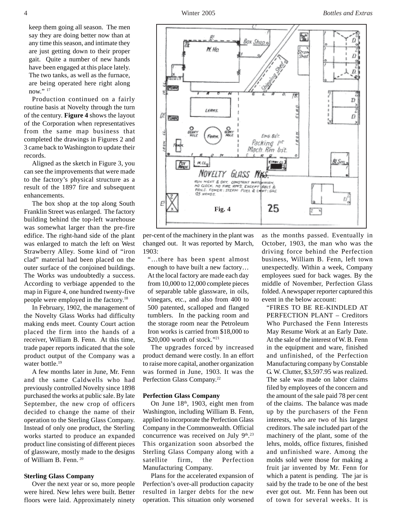keep them going all season. The men say they are doing better now than at any time this season, and intimate they are just getting down to their proper gait. Quite a number of new hands have been engaged at this place lately. The two tanks, as well as the furnace, are being operated here right along now." 17

Production continued on a fairly routine basis at Novelty through the turn of the century. **Figure 4** shows the layout of the Corporation when representatives from the same map business that completed the drawings in Figures 2 and 3 came back to Washington to update their records.

Aligned as the sketch in Figure 3, you can see the improvements that were made to the factory's physical structure as a result of the 1897 fire and subsequent enhancements.

The box shop at the top along South Franklin Street was enlarged. The factory building behind the top-left warehouse was somewhat larger than the pre-fire edifice. The right-hand side of the plant was enlarged to match the left on West Strawberry Alley. Some kind of "iron clad" material had been placed on the outer surface of the conjoined buildings. The Works was undoubtedly a success. According to verbiage appended to the map in Figure 4, one hundred twenty-five people were employed in the factory.18

In February, 1902, the management of the Novelty Glass Works had difficulty making ends meet. County Court action placed the firm into the hands of a receiver, William B. Fenn. At this time, trade paper reports indicated that the sole product output of the Company was a water bottle.<sup>19</sup>

A few months later in June, Mr. Fenn and the same Caldwells who had previously controlled Novelty since 1898 purchased the works at public sale. By late September, the new crop of officers decided to change the name of their operation to the Sterling Glass Company. Instead of only one product, the Sterling works started to produce an expanded product line consisting of different pieces of glassware, mostly made to the designs of William B. Fenn. 20

### **Sterling Glass Company**

Over the next year or so, more people were hired. New lehrs were built. Better floors were laid. Approximately ninety



"…there has been spent almost enough to have built a new factory… At the local factory are made each day from 10,000 to 12,000 complete pieces of separable table glassware, in oils, vinegars, etc., and also from 400 to 500 patented, scalloped and flanged tumblers. In the packing room and the storage room near the Petroleum Iron works is carried from \$18,000 to \$20,000 worth of stock."21

The upgrades forced by increased product demand were costly. In an effort to raise more capital, another organization was formed in June, 1903. It was the Perfection Glass Company.22

#### **Perfection Glass Company**

On June 18th, 1903, eight men from Washington, including William B. Fenn, applied to incorporate the Perfection Glass Company in the Commonwealth. Official concurrence was received on July  $9<sup>th,23</sup>$ This organization soon absorbed the Sterling Glass Company along with a satellite firm, the Perfection Manufacturing Company.

Plans for the accelerated expansion of Perfection's over-all production capacity resulted in larger debts for the new operation. This situation only worsened as the months passed. Eventually in October, 1903, the man who was the driving force behind the Perfection business, William B. Fenn, left town unexpectedly. Within a week, Company employees sued for back wages. By the middle of November, Perfection Glass folded. A newspaper reporter captured this event in the below account:

"FIRES TO BE RE-KINDLED AT PERFECTION PLANT – Creditors Who Purchased the Fenn Interests May Resume Work at an Early Date. At the sale of the interest of W. B. Fenn in the equipment and ware, finished and unfinished, of the Perfection Manufacturing company by Constable G. W. Clutter, \$3,597.95 was realized. The sale was made on labor claims filed by employees of the concern and the amount of the sale paid 78 per cent of the claims. The balance was made up by the purchasers of the Fenn interests, who are two of his largest creditors. The sale included part of the machinery of the plant, some of the lehrs, molds, office fixtures, finished and unfinished ware. Among the molds sold were those for making a fruit jar invented by Mr. Fenn for which a patent is pending. The jar is said by the trade to be one of the best ever got out. Mr. Fenn has been out of town for several weeks. It is

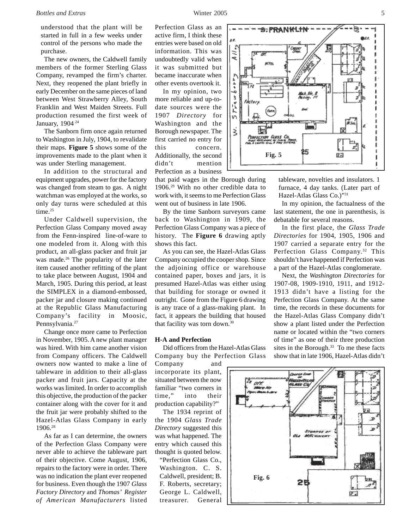understood that the plant will be started in full in a few weeks under control of the persons who made the purchase.

The new owners, the Caldwell family members of the former Sterling Glass Company, revamped the firm's charter. Next, they reopened the plant briefly in early December on the same pieces of land between West Strawberry Alley, South Franklin and West Maiden Streets. Full production resumed the first week of January, 1904 24

The Sanborn firm once again returned to Washington in July, 1904, to revalidate their maps. **Figure 5** shows some of the improvements made to the plant when it was under Sterling management.

In addition to the structural and equipment upgrades, power for the factory was changed from steam to gas. A night watchman was employed at the works, so only day turns were scheduled at this time.<sup>25</sup>

Under Caldwell supervision, the Perfection Glass Company moved away from the Fenn-inspired line-of-ware to one modeled from it. Along with this product, an all-glass packer and fruit jar was made.<sup>26</sup> The popularity of the later item caused another refitting of the plant to take place between August, 1904 and March, 1905. During this period, at least the SIMPLEX in a diamond-embossed, packer jar and closure making continued at the Republic Glass Manufacturing Company's facility in Moosic, Pennsylvania.<sup>27</sup>

Change once more came to Perfection in November, 1905. A new plant manager was hired. With him came another vision from Company officers. The Caldwell owners now wanted to make a line of tableware in addition to their all-glass packer and fruit jars. Capacity at the works was limited. In order to accomplish this objective, the production of the packer container along with the cover for it and the fruit jar were probably shifted to the Hazel-Atlas Glass Company in early 1906.28

As far as I can determine, the owners of the Perfection Glass Company were never able to achieve the tableware part of their objective. Come August, 1906, repairs to the factory were in order. There was no indication the plant ever reopened for business. Even though the 1907 *Glass Factory Directory* and *Thomas' Register of American Manufacturers* listed Perfection Glass as an active firm, I think these entries were based on old information. This was undoubtedly valid when it was submitted but became inaccurate when other events overtook it.

In my opinion, two more reliable and up-todate sources were the 1907 *Directory* for Washington and the Borough newspaper. The first carried no entry for this concern. Additionally, the second didn't mention Perfection as a business

that paid wages in the Borough during 1906.29 With no other credible data to work with, it seems to me Perfection Glass went out of business in late 1906.

By the time Sanborn surveyors came back to Washington in 1909, the Perfection Glass Company was a piece of history. The **Figure 6** drawing aptly shows this fact.

As you can see, the Hazel-Atlas Glass Company occupied the cooper shop. Since the adjoining office or warehouse contained paper, boxes and jars, it is presumed Hazel-Atlas was either using that building for storage or owned it outright. Gone from the Figure 6 drawing is any trace of a glass-making plant. In fact, it appears the building that housed that facility was torn down.30

#### **H-A and Perfection**

Did officers from the Hazel-Atlas Glass Company buy the Perfection Glass

Company and incorporate its plant, situated between the now familiar "two corners in time," into their production capability?"

The 1934 reprint of the 1904 *Glass Trade Directory* suggested this was what happened. The entry which caused this thought is quoted below.

"Perfection Glass Co., Washington. C. S. Caldwell, president; B. F. Roberts, secretary; George L. Caldwell, treasurer. General



tableware, novelties and insulators. 1 furnace, 4 day tanks. (Later part of Hazel-Atlas Glass Co.)"31

In my opinion, the factualness of the last statement, the one in parenthesis, is debatable for several reasons.

In the first place, the *Glass Trade Directories* for 1904, 1905, 1906 and 1907 carried a separate entry for the Perfection Glass Company.<sup>32</sup> This shouldn't have happened if Perfection was a part of the Hazel-Atlas conglomerate.

Next, the *Washington Directories* for 1907-08, 1909-1910, 1911, and 1912- 1913 didn't have a listing for the Perfection Glass Company. At the same time, the records in these documents for the Hazel-Atlas Glass Company didn't show a plant listed under the Perfection name or located within the "two corners of time" as one of their three production sites in the Borough.<sup>33</sup> To me these facts show that in late 1906, Hazel-Atlas didn't

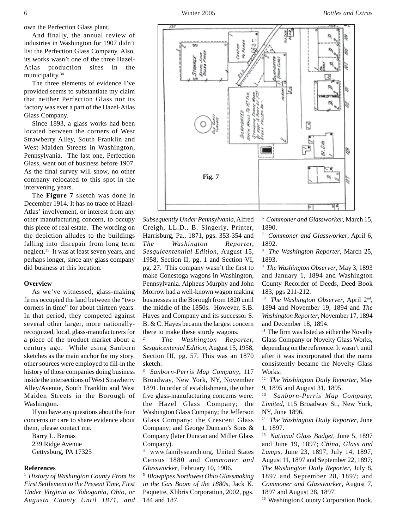own the Perfection Glass plant.

And finally, the annual review of industries in Washington for 1907 didn't list the Perfection Glass Company. Also, its works wasn't one of the three Hazel-Atlas production sites in the municipality.<sup>34</sup>

The three elements of evidence I've provided seems to substantiate my claim that neither Perfection Glass nor its factory was ever a part of the Hazel-Atlas Glass Company.

Since 1893, a glass works had been located between the corners of West Strawberry Alley, South Franklin and West Maiden Streets in Washington, Pennsylvania. The last one, Perfection Glass, went out of business before 1907. As the final survey will show, no other company relocated to this spot in the intervening years.

The **Figure 7** sketch was done in December 1914. It has no trace of Hazel-Atlas' involvement, or interest from any other manufacturing concern, to occupy this piece of real estate. The wording on the depiction alludes to the buildings falling into disrepair from long term neglect.35 It was at least seven years, and perhaps longer, since any glass company did business at this location.

#### **Overview**

As we've witnessed, glass-making firms occupied the land between the "two corners in time" for about thirteen years. In that period, they competed against several other larger, more nationallyrecognized, local, glass-manufacturers for a piece of the product market about a century ago. While using Sanborn sketches as the main anchor for my story, other sources were employed to fill-in the history of those companies doing business inside the intersections of West Strawberry Alley/Avenue, South Franklin and West Maiden Streets in the Borough of Washington.

If you have any questions about the four concerns or care to share evidence about them, please contact me.

Barry L. Bernas 239 Ridge Avenue Gettysburg, PA 17325

### **References**

<sup>1</sup>*History of Washington County From Its First Settlement to the Present Time, First Under Virginia as Yohogania, Ohio, or Augusta County Until 1871, and*

腱 No Port ÖΟ Coores 788882 Serces J Ŕ 03180000000 网络红叶 g s, **Fig. 7**

*Subsequently Under Pennsylvania*, Alfred Creigh, LL.D., B. Singerly, Printer, Harrisburg, Pa., 1871, pgs. 353-354 and *The Washington Reporter, Sesquicentennial Edition*, August 15, 1958, Section II, pg. 1 and Section VI, pg. 27. This company wasn't the first to make Conestoga wagons in Washington, Pennsylvania. Alpheus Murphy and John Morrow had a well-known wagon making businesses in the Borough from 1820 until the middle of the 1850s. However, S.B. Hayes and Company and its successor S. B. & C. Hayes became the largest concern there to make these sturdy wagons.

<sup>2</sup> *The Washington Reporter, Sesquicentenial Edition*, August 15, 1958, Section III, pg. 57. This was an 1870 sketch.

3 *Sanborn-Perris Map Company*, 117 Broadway, New York, NY, November 1891. In order of establishment, the other five glass-manufacturing concerns were: the Hazel Glass Company; the Washington Glass Company; the Jefferson Glass Company; the Crescent Glass Company; and George Duncan's Sons & Company (later Duncan and Miller Glass Company).

4 www.familysearch.org, United States Census 1880 and *Commoner and Glassworker*, February 10, 1906.

5 *Blowpipes Northwest Ohio Glassmaking in the Gas Boom of the 1880s*, Jack K. Paquette, Xlibris Corporation, 2002, pgs. 184 and 187.

6 *Commoner and Glassworker*, March 15, 1890.

7 *Commoner and Glassworker*, April 6, 1892.

8 *The Washington Reporter*, March 25, 1893.

9 *The Washington Observer*, May 3, 1893 and January 1, 1894 and Washington County Recorder of Deeds, Deed Book 183, pgs 211-212.

10 *The Washington Observer*, April 2nd, 1894 and November 19, 1894 and *The Washington Reporter*, November 17, 1894 and December 18, 1894.

 $11$  The firm was listed as either the Novelty Glass Company or Novelty Glass Works, depending on the reference. It wasn't until after it was incorporated that the name consistently became the Novelty Glass Works.

12 *The Washington Daily Reporter*, May 9, 1895 and August 31, 1895.

13 *Sanborn-Perris Map Company, Limited*, 115 Broadway St., New York, NY, June 1896.

14 *The Washington Daily Reporter*, June 1, 1897.

15 *National Glass Budget*, June 5, 1897 and June 19, 1897; *China, Glass and Lamps*, June 23, 1897, July 14, 1897, August 11, 1897 and September 22, 1897; *The Washington Daily Reporter*, July 8, 1897 and September 28, 1897; and *Commoner and Glassworker*, August 7, 1897 and August 28, 1897.

<sup>16</sup> Washington County Corporation Book,